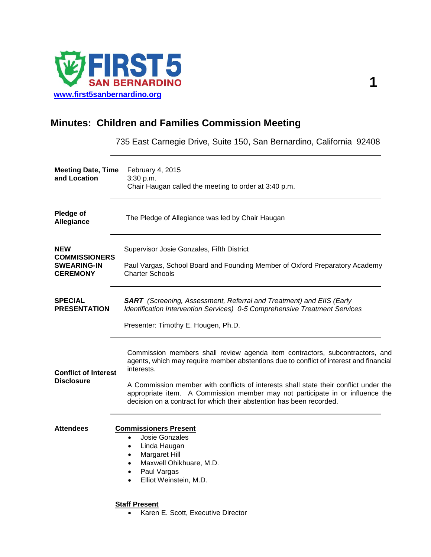

# **Minutes: Children and Families Commission Meeting**

735 East Carnegie Drive, Suite 150, San Bernardino, California 92408

| <b>Meeting Date, Time</b><br>and Location                                   | February 4, 2015<br>3:30 p.m.<br>Chair Haugan called the meeting to order at 3:40 p.m.                                                                                                                                                                                                                                                                                                                                                |
|-----------------------------------------------------------------------------|---------------------------------------------------------------------------------------------------------------------------------------------------------------------------------------------------------------------------------------------------------------------------------------------------------------------------------------------------------------------------------------------------------------------------------------|
| <b>Pledge of</b><br>Allegiance                                              | The Pledge of Allegiance was led by Chair Haugan                                                                                                                                                                                                                                                                                                                                                                                      |
| <b>NEW</b><br><b>COMMISSIONERS</b><br><b>SWEARING-IN</b><br><b>CEREMONY</b> | Supervisor Josie Gonzales, Fifth District<br>Paul Vargas, School Board and Founding Member of Oxford Preparatory Academy<br><b>Charter Schools</b>                                                                                                                                                                                                                                                                                    |
| <b>SPECIAL</b><br><b>PRESENTATION</b>                                       | <b>SART</b> (Screening, Assessment, Referral and Treatment) and EIIS (Early<br>Identification Intervention Services) 0-5 Comprehensive Treatment Services<br>Presenter: Timothy E. Hougen, Ph.D.                                                                                                                                                                                                                                      |
| <b>Conflict of Interest</b><br><b>Disclosure</b>                            | Commission members shall review agenda item contractors, subcontractors, and<br>agents, which may require member abstentions due to conflict of interest and financial<br>interests.<br>A Commission member with conflicts of interests shall state their conflict under the<br>appropriate item. A Commission member may not participate in or influence the<br>decision on a contract for which their abstention has been recorded. |
| <b>Attendees</b>                                                            | <b>Commissioners Present</b><br>Josie Gonzales<br>$\bullet$<br>Linda Haugan<br>٠<br>Margaret Hill<br>$\bullet$<br>Maxwell Ohikhuare, M.D.<br>$\bullet$<br>Paul Vargas<br>$\bullet$<br>Elliot Weinstein, M.D.                                                                                                                                                                                                                          |
|                                                                             | <b>Staff Present</b><br>Karen E. Scott, Executive Director<br>$\bullet$                                                                                                                                                                                                                                                                                                                                                               |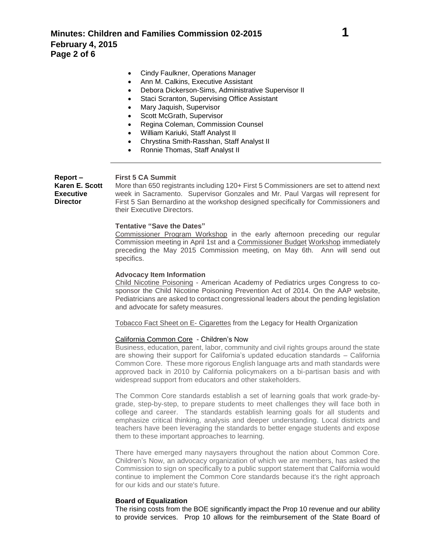- Ann M. Calkins, Executive Assistant
- Debora Dickerson-Sims, Administrative Supervisor II
- Staci Scranton, Supervising Office Assistant
- Mary Jaquish, Supervisor
- Scott McGrath, Supervisor
- Regina Coleman, Commission Counsel
- William Kariuki, Staff Analyst II
- Chrystina Smith-Rasshan, Staff Analyst II
- Ronnie Thomas, Staff Analyst II

**Report – Karen E. Scott Executive Director**

### **First 5 CA Summit**

More than 650 registrants including 120+ First 5 Commissioners are set to attend next week in Sacramento. Supervisor Gonzales and Mr. Paul Vargas will represent for First 5 San Bernardino at the workshop designed specifically for Commissioners and their Executive Directors.

## **Tentative "Save the Dates"**

Commissioner Program Workshop in the early afternoon preceding our regular Commission meeting in April 1st and a Commissioner Budget Workshop immediately preceding the May 2015 Commission meeting, on May 6th. Ann will send out specifics.

#### **Advocacy Item Information**

Child Nicotine Poisoning - American Academy of Pediatrics urges Congress to cosponsor the Child Nicotine Poisoning Prevention Act of 2014. On the AAP website, Pediatricians are asked to contact congressional leaders about the pending legislation and advocate for safety measures.

Tobacco Fact Sheet on E- Cigarettes from the Legacy for Health Organization

#### California Common Core - Children's Now

Business, education, parent, labor, community and civil rights groups around the state are showing their support for California's updated education standards – California Common Core. These more rigorous English language arts and math standards were approved back in 2010 by California policymakers on a bi-partisan basis and with widespread support from educators and other stakeholders.

The Common Core standards establish a set of learning goals that work grade-bygrade, step-by-step, to prepare students to meet challenges they will face both in college and career. The standards establish learning goals for all students and emphasize critical thinking, analysis and deeper understanding. Local districts and teachers have been leveraging the standards to better engage students and expose them to these important approaches to learning.

There have emerged many naysayers throughout the nation about Common Core. Children's Now, an advocacy organization of which we are members, has asked the Commission to sign on specifically to a public support statement that California would continue to implement the Common Core standards because it's the right approach for our kids and our state's future.

#### **Board of Equalization**

The rising costs from the BOE significantly impact the Prop 10 revenue and our ability to provide services. Prop 10 allows for the reimbursement of the State Board of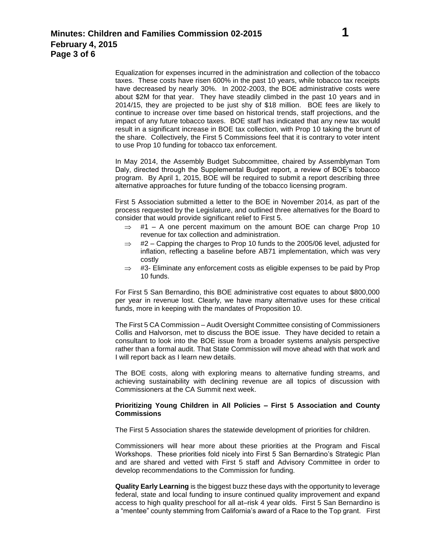Equalization for expenses incurred in the administration and collection of the tobacco taxes. These costs have risen 600% in the past 10 years, while tobacco tax receipts have decreased by nearly 30%. In 2002-2003, the BOE administrative costs were about \$2M for that year. They have steadily climbed in the past 10 years and in 2014/15, they are projected to be just shy of \$18 million. BOE fees are likely to continue to increase over time based on historical trends, staff projections, and the impact of any future tobacco taxes. BOE staff has indicated that any new tax would result in a significant increase in BOE tax collection, with Prop 10 taking the brunt of the share. Collectively, the First 5 Commissions feel that it is contrary to voter intent to use Prop 10 funding for tobacco tax enforcement.

In May 2014, the Assembly Budget Subcommittee, chaired by Assemblyman Tom Daly, directed through the Supplemental Budget report, a review of BOE's tobacco program. By April 1, 2015, BOE will be required to submit a report describing three alternative approaches for future funding of the tobacco licensing program.

First 5 Association submitted a letter to the BOE in November 2014, as part of the process requested by the Legislature, and outlined three alternatives for the Board to consider that would provide significant relief to First 5.

- $\Rightarrow$  #1 A one percent maximum on the amount BOE can charge Prop 10 revenue for tax collection and administration.
- $\Rightarrow$  #2 Capping the charges to Prop 10 funds to the 2005/06 level, adjusted for inflation, reflecting a baseline before AB71 implementation, which was very costly
- $\Rightarrow$  #3- Eliminate any enforcement costs as eligible expenses to be paid by Prop 10 funds.

For First 5 San Bernardino, this BOE administrative cost equates to about \$800,000 per year in revenue lost. Clearly, we have many alternative uses for these critical funds, more in keeping with the mandates of Proposition 10.

The First 5 CA Commission – Audit Oversight Committee consisting of Commissioners Collis and Halvorson, met to discuss the BOE issue. They have decided to retain a consultant to look into the BOE issue from a broader systems analysis perspective rather than a formal audit. That State Commission will move ahead with that work and I will report back as I learn new details.

The BOE costs, along with exploring means to alternative funding streams, and achieving sustainability with declining revenue are all topics of discussion with Commissioners at the CA Summit next week.

## **Prioritizing Young Children in All Policies – First 5 Association and County Commissions**

The First 5 Association shares the statewide development of priorities for children.

Commissioners will hear more about these priorities at the Program and Fiscal Workshops. These priorities fold nicely into First 5 San Bernardino's Strategic Plan and are shared and vetted with First 5 staff and Advisory Committee in order to develop recommendations to the Commission for funding.

**Quality Early Learning** is the biggest buzz these days with the opportunity to leverage federal, state and local funding to insure continued quality improvement and expand access to high quality preschool for all at–risk 4 year olds. First 5 San Bernardino is a "mentee" county stemming from California's award of a Race to the Top grant. First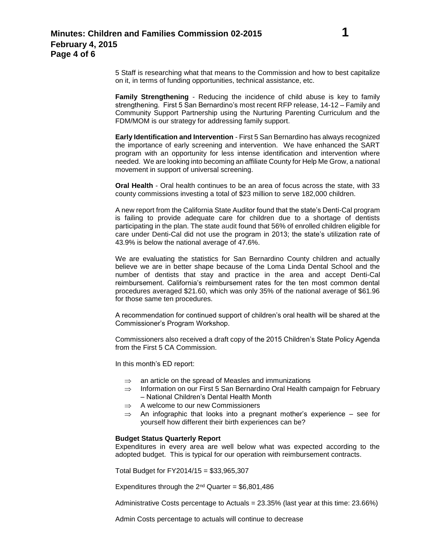5 Staff is researching what that means to the Commission and how to best capitalize on it, in terms of funding opportunities, technical assistance, etc.

**Family Strengthening** - Reducing the incidence of child abuse is key to family strengthening. First 5 San Bernardino's most recent RFP release, 14-12 – Family and Community Support Partnership using the Nurturing Parenting Curriculum and the FDM/MOM is our strategy for addressing family support.

**Early Identification and Intervention** - First 5 San Bernardino has always recognized the importance of early screening and intervention. We have enhanced the SART program with an opportunity for less intense identification and intervention where needed. We are looking into becoming an affiliate County for Help Me Grow, a national movement in support of universal screening.

**Oral Health** - Oral health continues to be an area of focus across the state, with 33 county commissions investing a total of \$23 million to serve 182,000 children.

A new report from the California State Auditor found that the state's Denti-Cal program is failing to provide adequate care for children due to a shortage of dentists participating in the plan. The state audit found that 56% of enrolled children eligible for care under Denti-Cal did not use the program in 2013; the state's utilization rate of 43.9% is below the national average of 47.6%.

We are evaluating the statistics for San Bernardino County children and actually believe we are in better shape because of the Loma Linda Dental School and the number of dentists that stay and practice in the area and accept Denti-Cal reimbursement. California's reimbursement rates for the ten most common dental procedures averaged \$21.60, which was only 35% of the national average of \$61.96 for those same ten procedures.

A recommendation for continued support of children's oral health will be shared at the Commissioner's Program Workshop.

Commissioners also received a draft copy of the 2015 Children's State Policy Agenda from the First 5 CA Commission.

In this month's ED report:

- $\Rightarrow$  an article on the spread of Measles and immunizations
- $\Rightarrow$  Information on our First 5 San Bernardino Oral Health campaign for February – National Children's Dental Health Month
- $\Rightarrow$  A welcome to our new Commissioners
- $\Rightarrow$  An infographic that looks into a pregnant mother's experience see for yourself how different their birth experiences can be?

# **Budget Status Quarterly Report**

Expenditures in every area are well below what was expected according to the adopted budget. This is typical for our operation with reimbursement contracts.

Total Budget for FY2014/15 = \$33,965,307

Expenditures through the  $2^{nd}$  Quarter = \$6,801,486

Administrative Costs percentage to Actuals = 23.35% (last year at this time: 23.66%)

Admin Costs percentage to actuals will continue to decrease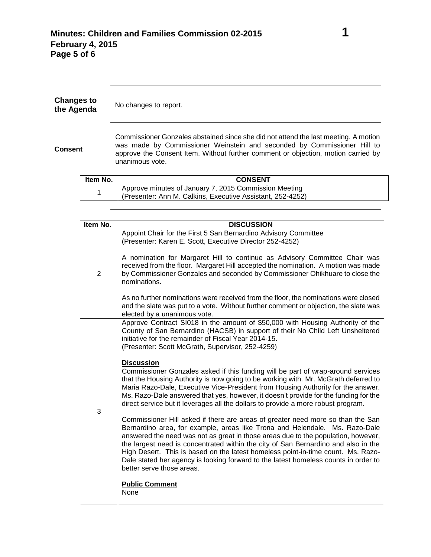| <b>Changes to</b><br>the Agenda |          | No changes to report.                                                                                                                                                                                                                                                  |
|---------------------------------|----------|------------------------------------------------------------------------------------------------------------------------------------------------------------------------------------------------------------------------------------------------------------------------|
| <b>Consent</b>                  |          | Commissioner Gonzales abstained since she did not attend the last meeting. A motion<br>was made by Commissioner Weinstein and seconded by Commissioner Hill to<br>approve the Consent Item. Without further comment or objection, motion carried by<br>unanimous vote. |
|                                 | Item No. | <b>CONSENT</b>                                                                                                                                                                                                                                                         |
|                                 | 1        | Approve minutes of January 7, 2015 Commission Meeting                                                                                                                                                                                                                  |
|                                 |          | (Presenter: Ann M. Calkins, Executive Assistant, 252-4252)                                                                                                                                                                                                             |

| Item No.       | <b>DISCUSSION</b>                                                                                                                                                                                                                                                                                                                                                                                                                                                                                                                                 |
|----------------|---------------------------------------------------------------------------------------------------------------------------------------------------------------------------------------------------------------------------------------------------------------------------------------------------------------------------------------------------------------------------------------------------------------------------------------------------------------------------------------------------------------------------------------------------|
| $\overline{2}$ | Appoint Chair for the First 5 San Bernardino Advisory Committee<br>(Presenter: Karen E. Scott, Executive Director 252-4252)                                                                                                                                                                                                                                                                                                                                                                                                                       |
|                | A nomination for Margaret Hill to continue as Advisory Committee Chair was<br>received from the floor. Margaret Hill accepted the nomination. A motion was made<br>by Commissioner Gonzales and seconded by Commissioner Ohikhuare to close the<br>nominations.                                                                                                                                                                                                                                                                                   |
|                | As no further nominations were received from the floor, the nominations were closed<br>and the slate was put to a vote. Without further comment or objection, the slate was<br>elected by a unanimous vote.                                                                                                                                                                                                                                                                                                                                       |
| 3              | Approve Contract SI018 in the amount of \$50,000 with Housing Authority of the<br>County of San Bernardino (HACSB) in support of their No Child Left Unsheltered<br>initiative for the remainder of Fiscal Year 2014-15.<br>(Presenter: Scott McGrath, Supervisor, 252-4259)                                                                                                                                                                                                                                                                      |
|                | <b>Discussion</b><br>Commissioner Gonzales asked if this funding will be part of wrap-around services<br>that the Housing Authority is now going to be working with. Mr. McGrath deferred to<br>Maria Razo-Dale, Executive Vice-President from Housing Authority for the answer.<br>Ms. Razo-Dale answered that yes, however, it doesn't provide for the funding for the<br>direct service but it leverages all the dollars to provide a more robust program.                                                                                     |
|                | Commissioner Hill asked if there are areas of greater need more so than the San<br>Bernardino area, for example, areas like Trona and Helendale. Ms. Razo-Dale<br>answered the need was not as great in those areas due to the population, however,<br>the largest need is concentrated within the city of San Bernardino and also in the<br>High Desert. This is based on the latest homeless point-in-time count. Ms. Razo-<br>Dale stated her agency is looking forward to the latest homeless counts in order to<br>better serve those areas. |
|                | <b>Public Comment</b><br>None                                                                                                                                                                                                                                                                                                                                                                                                                                                                                                                     |